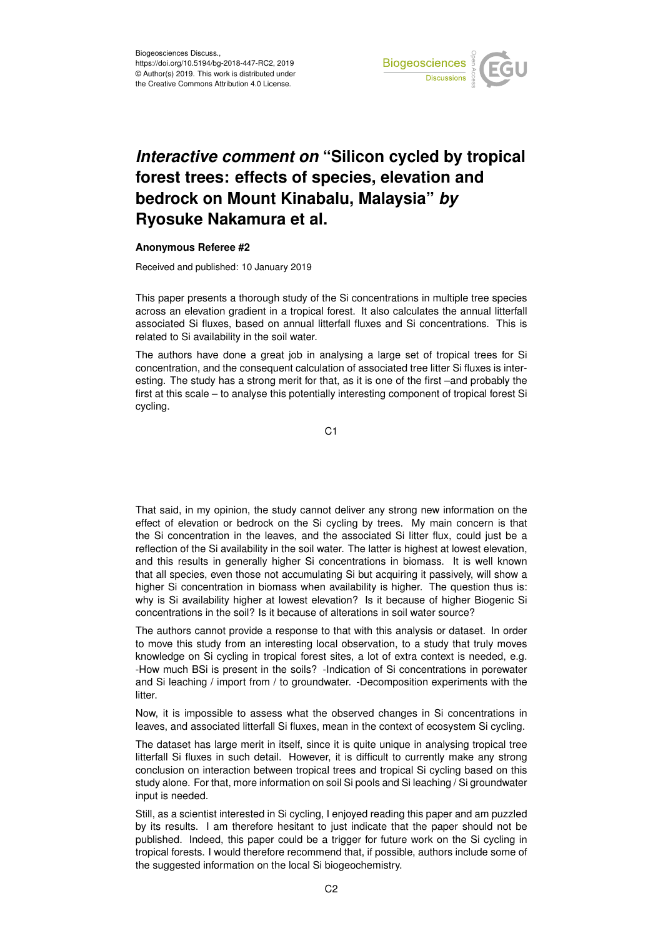

## *Interactive comment on* **"Silicon cycled by tropical forest trees: effects of species, elevation and bedrock on Mount Kinabalu, Malaysia"** *by* **Ryosuke Nakamura et al.**

## **Anonymous Referee #2**

Received and published: 10 January 2019

This paper presents a thorough study of the Si concentrations in multiple tree species across an elevation gradient in a tropical forest. It also calculates the annual litterfall associated Si fluxes, based on annual litterfall fluxes and Si concentrations. This is related to Si availability in the soil water.

The authors have done a great job in analysing a large set of tropical trees for Si concentration, and the consequent calculation of associated tree litter Si fluxes is interesting. The study has a strong merit for that, as it is one of the first –and probably the first at this scale – to analyse this potentially interesting component of tropical forest Si cycling.

C1

That said, in my opinion, the study cannot deliver any strong new information on the effect of elevation or bedrock on the Si cycling by trees. My main concern is that the Si concentration in the leaves, and the associated Si litter flux, could just be a reflection of the Si availability in the soil water. The latter is highest at lowest elevation, and this results in generally higher Si concentrations in biomass. It is well known that all species, even those not accumulating Si but acquiring it passively, will show a higher Si concentration in biomass when availability is higher. The question thus is: why is Si availability higher at lowest elevation? Is it because of higher Biogenic Si concentrations in the soil? Is it because of alterations in soil water source?

The authors cannot provide a response to that with this analysis or dataset. In order to move this study from an interesting local observation, to a study that truly moves knowledge on Si cycling in tropical forest sites, a lot of extra context is needed, e.g. -How much BSi is present in the soils? -Indication of Si concentrations in porewater and Si leaching / import from / to groundwater. -Decomposition experiments with the litter.

Now, it is impossible to assess what the observed changes in Si concentrations in leaves, and associated litterfall Si fluxes, mean in the context of ecosystem Si cycling.

The dataset has large merit in itself, since it is quite unique in analysing tropical tree litterfall Si fluxes in such detail. However, it is difficult to currently make any strong conclusion on interaction between tropical trees and tropical Si cycling based on this study alone. For that, more information on soil Si pools and Si leaching / Si groundwater input is needed.

Still, as a scientist interested in Si cycling, I enjoyed reading this paper and am puzzled by its results. I am therefore hesitant to just indicate that the paper should not be published. Indeed, this paper could be a trigger for future work on the Si cycling in tropical forests. I would therefore recommend that, if possible, authors include some of the suggested information on the local Si biogeochemistry.